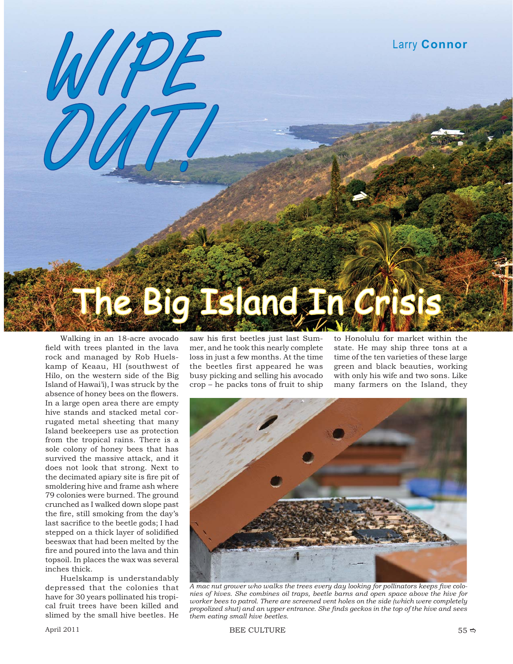

Walking in an 18-acre avocado field with trees planted in the lava rock and managed by Rob Huelskamp of Keaau, HI (southwest of Hilo, on the western side of the Big Island of Hawai'i), I was struck by the absence of honey bees on the flowers. In a large open area there are empty hive stands and stacked metal corrugated metal sheeting that many Island beekeepers use as protection from the tropical rains. There is a sole colony of honey bees that has survived the massive attack, and it does not look that strong. Next to the decimated apiary site is fire pit of smoldering hive and frame ash where 79 colonies were burned. The ground crunched as I walked down slope past the fire, still smoking from the day's last sacrifice to the beetle gods; I had stepped on a thick layer of solidified beeswax that had been melted by the fire and poured into the lava and thin topsoil. In places the wax was several inches thick.

Huelskamp is understandably depressed that the colonies that have for 30 years pollinated his tropical fruit trees have been killed and slimed by the small hive beetles. He

saw his first beetles just last Summer, and he took this nearly complete loss in just a few months. At the time the beetles first appeared he was busy picking and selling his avocado crop – he packs tons of fruit to ship

to Honolulu for market within the state. He may ship three tons at a time of the ten varieties of these large green and black beauties, working with only his wife and two sons. Like many farmers on the Island, they



A mac nut grower who walks the trees every day looking for pollinators keeps five colo*nies of hives. She combines oil traps, beetle barns and open space above the hive for worker bees to patrol. There are screened vent holes on the side (which were completely propolized shut) and an upper entrance. She fi nds geckos in the top of the hive and sees them eating small hive beetles.*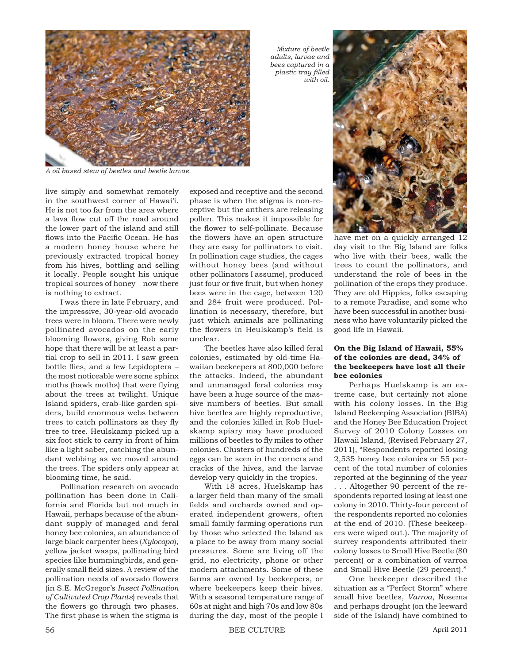

*A oil based stew of beetles and beetle larvae.*

live simply and somewhat remotely in the southwest corner of Hawai'i. He is not too far from the area where a lava flow cut off the road around the lower part of the island and still flows into the Pacific Ocean. He has a modern honey house where he previously extracted tropical honey from his hives, bottling and selling it locally. People sought his unique tropical sources of honey – now there is nothing to extract.

I was there in late February, and the impressive, 30-year-old avocado trees were in bloom. There were newly pollinated avocados on the early blooming flowers, giving Rob some hope that there will be at least a partial crop to sell in 2011. I saw green bottle flies, and a few Lepidoptera the most noticeable were some sphinx moths (hawk moths) that were flying about the trees at twilight. Unique Island spiders, crab-like garden spiders, build enormous webs between trees to catch pollinators as they fly tree to tree. Heulskamp picked up a six foot stick to carry in front of him like a light saber, catching the abundant webbing as we moved around the trees. The spiders only appear at blooming time, he said.

Pollination research on avocado pollination has been done in California and Florida but not much in Hawaii, perhaps because of the abundant supply of managed and feral honey bee colonies, an abundance of large black carpenter bees (*Xylocopa*), yellow jacket wasps, pollinating bird species like hummingbirds, and generally small field sizes. A review of the pollination needs of avocado flowers (in S.E. McGregor's *Insect Pollination of Cultivated Crop Plants*) reveals that the flowers go through two phases. The first phase is when the stigma is

exposed and receptive and the second phase is when the stigma is non-receptive but the anthers are releasing pollen. This makes it impossible for the flower to self-pollinate. Because the flowers have an open structure they are easy for pollinators to visit. In pollination cage studies, the cages without honey bees (and without other pollinators I assume), produced just four or five fruit, but when honey bees were in the cage, between 120 and 284 fruit were produced. Pollination is necessary, therefore, but just which animals are pollinating the flowers in Heulskamp's field is unclear.

The beetles have also killed feral colonies, estimated by old-time Hawaiian beekeepers at 800,000 before the attacks. Indeed, the abundant and unmanaged feral colonies may have been a huge source of the massive numbers of beetles. But small hive beetles are highly reproductive, and the colonies killed in Rob Huelskamp apiary may have produced millions of beetles to fly miles to other colonies. Clusters of hundreds of the eggs can be seen in the corners and cracks of the hives, and the larvae develop very quickly in the tropics.

With 18 acres, Huelskamp has a larger field than many of the small fields and orchards owned and operated independent growers, often small family farming operations run by those who selected the Island as a place to be away from many social pressures. Some are living off the grid, no electricity, phone or other modern attachments. Some of these farms are owned by beekeepers, or where beekeepers keep their hives. With a seasonal temperature range of 60s at night and high 70s and low 80s during the day, most of the people I

*Mixture of beetle adults, larvae and bees captured in a plastic tray fi lled with oil.* 



have met on a quickly arranged 12 day visit to the Big Island are folks who live with their bees, walk the trees to count the pollinators, and understand the role of bees in the pollination of the crops they produce. They are old Hippies, folks escaping to a remote Paradise, and some who have been successful in another business who have voluntarily picked the good life in Hawaii.

## **On the Big Island of Hawaii, 55% of the colonies are dead, 34% of the beekeepers have lost all their bee colonies**

Perhaps Huelskamp is an extreme case, but certainly not alone with his colony losses. In the Big Island Beekeeping Association (BIBA) and the Honey Bee Education Project Survey of 2010 Colony Losses on Hawaii Island, (Revised February 27, 2011), "Respondents reported losing 2,535 honey bee colonies or 55 percent of the total number of colonies reported at the beginning of the year . . . Altogether 90 percent of the respondents reported losing at least one colony in 2010. Thirty-four percent of the respondents reported no colonies at the end of 2010. (These beekeepers were wiped out.). The majority of survey respondents attributed their colony losses to Small Hive Beetle (80 percent) or a combination of varroa and Small Hive Beetle (29 percent)."

One beekeeper described the situation as a "Perfect Storm" where small hive beetles, *Varroa*, Nosema and perhaps drought (on the leeward side of the Island) have combined to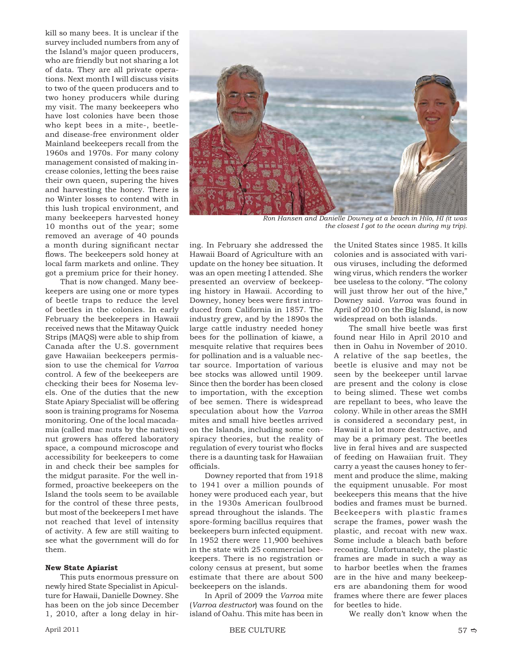kill so many bees. It is unclear if the survey included numbers from any of the Island's major queen producers, who are friendly but not sharing a lot of data. They are all private operations. Next month I will discuss visits to two of the queen producers and to two honey producers while during my visit. The many beekeepers who have lost colonies have been those who kept bees in a mite-, beetleand disease-free environment older Mainland beekeepers recall from the 1960s and 1970s. For many colony management consisted of making increase colonies, letting the bees raise their own queen, supering the hives and harvesting the honey. There is no Winter losses to contend with in this lush tropical environment, and many beekeepers harvested honey 10 months out of the year; some removed an average of 40 pounds a month during significant nectar flows. The beekeepers sold honey at local farm markets and online. They got a premium price for their honey.

That is now changed. Many beekeepers are using one or more types of beetle traps to reduce the level of beetles in the colonies. In early February the beekeepers in Hawaii received news that the Mitaway Quick Strips (MAQS) were able to ship from Canada after the U.S. government gave Hawaiian beekeepers permission to use the chemical for *Varroa* control. A few of the beekeepers are checking their bees for Nosema levels. One of the duties that the new State Apiary Specialist will be offering soon is training programs for Nosema monitoring. One of the local macadamia (called mac nuts by the natives) nut growers has offered laboratory space, a compound microscope and accessibility for beekeepers to come in and check their bee samples for the midgut parasite. For the well informed, proactive beekeepers on the Island the tools seem to be available for the control of these three pests, but most of the beekeepers I met have not reached that level of intensity of activity. A few are still waiting to see what the government will do for them.

## **New State Apiarist**

This puts enormous pressure on newly hired State Specialist in Apiculture for Hawaii, Danielle Downey. She has been on the job since December 1, 2010, after a long delay in hir-



*Ron Hansen and Danielle Downey at a beach in Hilo, HI (it was the closest I got to the ocean during my trip).* 

ing. In February she addressed the Hawaii Board of Agriculture with an update on the honey bee situation. It was an open meeting I attended. She presented an overview of beekeeping history in Hawaii. According to Downey, honey bees were first introduced from California in 1857. The industry grew, and by the 1890s the large cattle industry needed honey bees for the pollination of kiawe, a mesquite relative that requires bees for pollination and is a valuable nectar source. Importation of various bee stocks was allowed until 1909. Since then the border has been closed to importation, with the exception of bee semen. There is widespread speculation about how the *Varroa* mites and small hive beetles arrived on the Islands, including some conspiracy theories, but the reality of regulation of every tourist who flocks there is a daunting task for Hawaiian officials.

Downey reported that from 1918 to 1941 over a million pounds of honey were produced each year, but in the 1930s American foulbrood spread throughout the islands. The spore-forming bacillus requires that beekeepers burn infected equipment. In 1952 there were 11,900 beehives in the state with 25 commercial beekeepers. There is no registration or colony census at present, but some estimate that there are about 500 beekeepers on the islands.

In April of 2009 the *Varroa* mite (*Varroa destructor*) was found on the island of Oahu. This mite has been in

the United States since 1985. It kills colonies and is associated with various viruses, including the deformed wing virus, which renders the worker bee useless to the colony. "The colony will just throw her out of the hive," Downey said. *Varroa* was found in April of 2010 on the Big Island, is now widespread on both islands.

The small hive beetle was first found near Hilo in April 2010 and then in Oahu in November of 2010. A relative of the sap beetles, the beetle is elusive and may not be seen by the beekeeper until larvae are present and the colony is close to being slimed. These wet combs are repellant to bees, who leave the colony. While in other areas the SMH is considered a secondary pest, in Hawaii it a lot more destructive, and may be a primary pest. The beetles live in feral hives and are suspected of feeding on Hawaiian fruit. They carry a yeast the causes honey to ferment and produce the slime, making the equipment unusable. For most beekeepers this means that the hive bodies and frames must be burned. Beekeepers with plastic frames scrape the frames, power wash the plastic, and recoat with new wax. Some include a bleach bath before recoating. Unfortunately, the plastic frames are made in such a way as to harbor beetles when the frames are in the hive and many beekeepers are abandoning them for wood frames where there are fewer places for beetles to hide.

We really don't know when the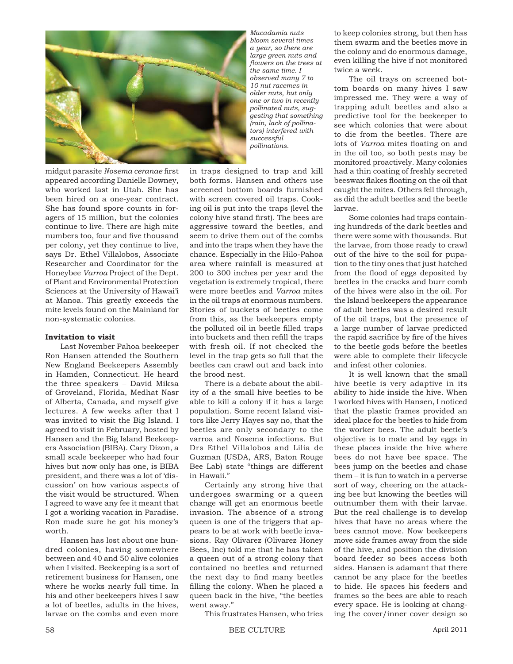

midgut parasite *Nosema ceranae* first appeared according Danielle Downey, who worked last in Utah. She has been hired on a one-year contract. She has found spore counts in foragers of 15 million, but the colonies continue to live. There are high mite numbers too, four and five thousand per colony, yet they continue to live, says Dr. Ethel Villalobos, Associate Researcher and Coordinator for the Honeybee *Varroa* Project of the Dept. of Plant and Environmental Protection Sciences at the University of Hawai'i at Manoa. This greatly exceeds the mite levels found on the Mainland for non-systematic colonies.

## **Invitation to visit**

Last November Pahoa beekeeper Ron Hansen attended the Southern New England Beekeepers Assembly in Hamden, Connecticut. He heard the three speakers – David Miksa of Groveland, Florida, Medhat Nasr of Alberta, Canada, and myself give lectures. A few weeks after that I was invited to visit the Big Island. I agreed to visit in February, hosted by Hansen and the Big Island Beekeepers Association (BIBA). Cary Dizon, a small scale beekeeper who had four hives but now only has one, is BIBA president, and there was a lot of 'discussion' on how various aspects of the visit would be structured. When I agreed to wave any fee it meant that I got a working vacation in Paradise. Ron made sure he got his money's worth.

Hansen has lost about one hundred colonies, having somewhere between and 40 and 50 alive colonies when I visited. Beekeeping is a sort of retirement business for Hansen, one where he works nearly full time. In his and other beekeepers hives I saw a lot of beetles, adults in the hives, larvae on the combs and even more

*Macadamia nuts bloom several times a year, so there are large green nuts and fl owers on the trees at the same time. I observed many 7 to 10 nut racemes in older nuts, but only one or two in recently pollinated nuts, suggesting that something (rain, lack of pollinators) interfered with successful pollinations.* 

in traps designed to trap and kill both forms. Hansen and others use screened bottom boards furnished with screen covered oil traps. Cooking oil is put into the traps (level the colony hive stand first). The bees are aggressive toward the beetles, and seem to drive them out of the combs and into the traps when they have the chance. Especially in the Hilo-Pahoa area where rainfall is measured at 200 to 300 inches per year and the vegetation is extremely tropical, there were more beetles and *Varroa* mites in the oil traps at enormous numbers. Stories of buckets of beetles come from this, as the beekeepers empty the polluted oil in beetle filled traps into buckets and then refill the traps with fresh oil. If not checked the level in the trap gets so full that the beetles can crawl out and back into the brood nest.

There is a debate about the ability of a the small hive beetles to be able to kill a colony if it has a large population. Some recent Island visitors like Jerry Hayes say no, that the beetles are only secondary to the varroa and Nosema infections. But Drs Ethel Villalobos and Lilia de Guzman (USDA, ARS, Baton Rouge Bee Lab) state "things are different in Hawaii."

Certainly any strong hive that undergoes swarming or a queen change will get an enormous beetle invasion. The absence of a strong queen is one of the triggers that appears to be at work with beetle invasions. Ray Olivarez (Olivarez Honey Bees, Inc) told me that he has taken a queen out of a strong colony that contained no beetles and returned the next day to find many beetles filling the colony. When he placed a queen back in the hive, "the beetles went away."

to keep colonies strong, but then has them swarm and the beetles move in the colony and do enormous damage, even killing the hive if not monitored twice a week.

The oil trays on screened bottom boards on many hives I saw impressed me. They were a way of trapping adult beetles and also a predictive tool for the beekeeper to see which colonies that were about to die from the beetles. There are lots of *Varroa* mites floating on and in the oil too, so both pests may be monitored proactively. Many colonies had a thin coating of freshly secreted beeswax flakes floating on the oil that caught the mites. Others fell through, as did the adult beetles and the beetle larvae.

Some colonies had traps containing hundreds of the dark beetles and there were some with thousands. But the larvae, from those ready to crawl out of the hive to the soil for pupation to the tiny ones that just hatched from the flood of eggs deposited by beetles in the cracks and burr comb of the hives were also in the oil. For the Island beekeepers the appearance of adult beetles was a desired result of the oil traps, but the presence of a large number of larvae predicted the rapid sacrifice by fire of the hives to the beetle gods before the beetles were able to complete their lifecycle and infest other colonies.

It is well known that the small hive beetle is very adaptive in its ability to hide inside the hive. When I worked hives with Hansen, I noticed that the plastic frames provided an ideal place for the beetles to hide from the worker bees. The adult beetle's objective is to mate and lay eggs in these places inside the hive where bees do not have bee space. The bees jump on the beetles and chase them – it is fun to watch in a perverse sort of way, cheering on the attacking bee but knowing the beetles will outnumber them with their larvae. But the real challenge is to develop hives that have no areas where the bees cannot move. Now beekeepers move side frames away from the side of the hive, and position the division board feeder so bees access both sides. Hansen is adamant that there cannot be any place for the beetles to hide. He spaces his feeders and frames so the bees are able to reach every space. He is looking at changing the cover/inner cover design so

This frustrates Hansen, who tries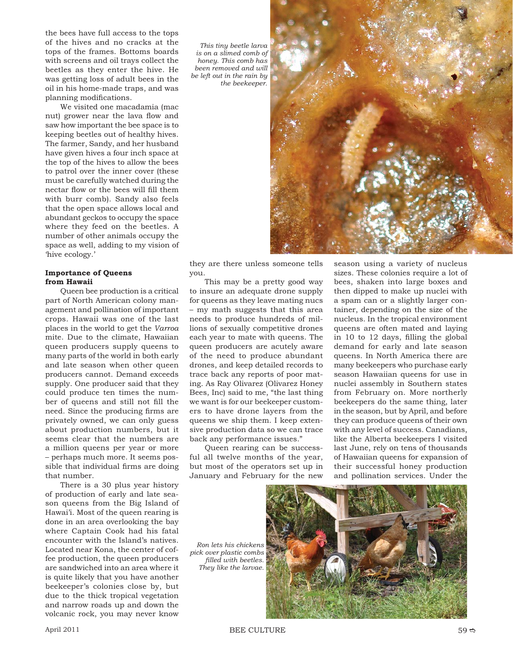the bees have full access to the tops of the hives and no cracks at the tops of the frames. Bottoms boards with screens and oil trays collect the beetles as they enter the hive. He was getting loss of adult bees in the oil in his home-made traps, and was planning modifications.

We visited one macadamia (mac nut) grower near the lava flow and saw how important the bee space is to keeping beetles out of healthy hives. The farmer, Sandy, and her husband have given hives a four inch space at the top of the hives to allow the bees to patrol over the inner cover (these must be carefully watched during the nectar flow or the bees will fill them with burr comb). Sandy also feels that the open space allows local and abundant geckos to occupy the space where they feed on the beetles. A number of other animals occupy the space as well, adding to my vision of 'hive ecology.'

## **Importance of Queens from Hawaii**

Queen bee production is a critical part of North American colony management and pollination of important crops. Hawaii was one of the last places in the world to get the *Varroa* mite. Due to the climate, Hawaiian queen producers supply queens to many parts of the world in both early and late season when other queen producers cannot. Demand exceeds supply. One producer said that they could produce ten times the number of queens and still not fill the need. Since the producing firms are privately owned, we can only guess about production numbers, but it seems clear that the numbers are a million queens per year or more – perhaps much more. It seems possible that individual firms are doing that number.

There is a 30 plus year history of production of early and late season queens from the Big Island of Hawai'i. Most of the queen rearing is done in an area overlooking the bay where Captain Cook had his fatal encounter with the Island's natives. Located near Kona, the center of coffee production, the queen producers are sandwiched into an area where it is quite likely that you have another beekeeper's colonies close by, but due to the thick tropical vegetation and narrow roads up and down the volcanic rock, you may never know

*This tiny beetle larva is on a slimed comb of honey. This comb has been removed and will be left out in the rain by the beekeeper.*



they are there unless someone tells you.

This may be a pretty good way to insure an adequate drone supply for queens as they leave mating nucs – my math suggests that this area needs to produce hundreds of millions of sexually competitive drones each year to mate with queens. The queen producers are acutely aware of the need to produce abundant drones, and keep detailed records to trace back any reports of poor mating. As Ray Olivarez (Olivarez Honey Bees, Inc) said to me, "the last thing we want is for our beekeeper customers to have drone layers from the queens we ship them. I keep extensive production data so we can trace back any performance issues."

Queen rearing can be successful all twelve months of the year, but most of the operators set up in January and February for the new

*Ron lets his chickens pick over plastic combs fi lled with beetles. They like the larvae.* 

season using a variety of nucleus sizes. These colonies require a lot of bees, shaken into large boxes and then dipped to make up nuclei with a spam can or a slightly larger container, depending on the size of the nucleus. In the tropical environment queens are often mated and laying in 10 to 12 days, filling the global demand for early and late season queens. In North America there are many beekeepers who purchase early season Hawaiian queens for use in nuclei assembly in Southern states from February on. More northerly beekeepers do the same thing, later in the season, but by April, and before they can produce queens of their own with any level of success. Canadians, like the Alberta beekeepers I visited last June, rely on tens of thousands of Hawaiian queens for expansion of their successful honey production and pollination services. Under the



April 2011 **BEE CULTURE** 59